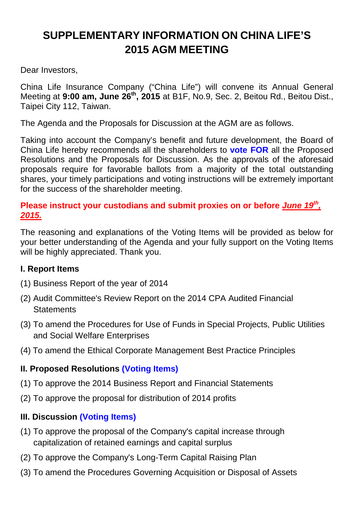# **SUPPLEMENTARY INFORMATION ON CHINA LIFE'S 2015 AGM MEETING**

Dear Investors,

China Life Insurance Company ("China Life") will convene its Annual General Meeting at **9:00 am, June 26th, 2015** at B1F, No.9, Sec. 2, Beitou Rd., Beitou Dist., Taipei City 112, Taiwan.

The Agenda and the Proposals for Discussion at the AGM are as follows.

Taking into account the Company's benefit and future development, the Board of China Life hereby recommends all the shareholders to **vote FOR** all the Proposed Resolutions and the Proposals for Discussion. As the approvals of the aforesaid proposals require for favorable ballots from a majority of the total outstanding shares, your timely participations and voting instructions will be extremely important for the success of the shareholder meeting.

#### Please instruct your custodians and submit proxies on or before *June 19<sup>th</sup>*, **2015.**

The reasoning and explanations of the Voting Items will be provided as below for your better understanding of the Agenda and your fully support on the Voting Items will be highly appreciated. Thank you.

# **I. Report Items**

- (1) Business Report of the year of 2014
- (2) Audit Committee's Review Report on the 2014 CPA Audited Financial **Statements**
- (3) To amend the Procedures for Use of Funds in Special Projects, Public Utilities and Social Welfare Enterprises
- (4) To amend the Ethical Corporate Management Best Practice Principles

# **II. Proposed Resolutions (Voting Items)**

- (1) To approve the 2014 Business Report and Financial Statements
- (2) To approve the proposal for distribution of 2014 profits

# **III. Discussion (Voting Items)**

- (1) To approve the proposal of the Company's capital increase through capitalization of retained earnings and capital surplus
- (2) To approve the Company's Long-Term Capital Raising Plan
- (3) To amend the Procedures Governing Acquisition or Disposal of Assets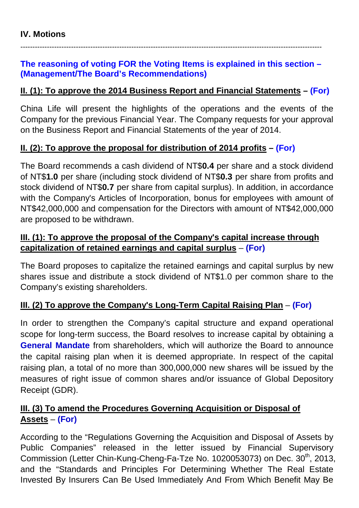#### **The reasoning of voting FOR the Voting Items is explained in this section – (Management/The Board's Recommendations)**

-----------------------------------------------------------------------------------------------------------------------------

#### **II. (1): To approve the 2014 Business Report and Financial Statements – (For)**

China Life will present the highlights of the operations and the events of the Company for the previous Financial Year. The Company requests for your approval on the Business Report and Financial Statements of the year of 2014.

#### **II. (2): To approve the proposal for distribution of 2014 profits – (For)**

The Board recommends a cash dividend of NT\$**0.4** per share and a stock dividend of NT\$**1.0** per share (including stock dividend of NT\$**0.3** per share from profits and stock dividend of NT\$**0.7** per share from capital surplus). In addition, in accordance with the Company's Articles of Incorporation, bonus for employees with amount of NT\$42,000,000 and compensation for the Directors with amount of NT\$42,000,000 are proposed to be withdrawn.

#### **III. (1): To approve the proposal of the Company's capital increase through capitalization of retained earnings and capital surplus** – **(For)**

The Board proposes to capitalize the retained earnings and capital surplus by new shares issue and distribute a stock dividend of NT\$1.0 per common share to the Company's existing shareholders.

# **III. (2) To approve the Company's Long-Term Capital Raising Plan** – **(For)**

In order to strengthen the Company's capital structure and expand operational scope for long-term success, the Board resolves to increase capital by obtaining a **General Mandate** from shareholders, which will authorize the Board to announce the capital raising plan when it is deemed appropriate. In respect of the capital raising plan, a total of no more than 300,000,000 new shares will be issued by the measures of right issue of common shares and/or issuance of Global Depository Receipt (GDR).

#### **III. (3) To amend the Procedures Governing Acquisition or Disposal of Assets** – **(For)**

According to the "Regulations Governing the Acquisition and Disposal of Assets by Public Companies" released in the letter issued by Financial Supervisory Commission (Letter Chin-Kung-Cheng-Fa-Tze No. 1020053073) on Dec. 30<sup>th</sup>, 2013, and the "Standards and Principles For Determining Whether The Real Estate Invested By Insurers Can Be Used Immediately And From Which Benefit May Be